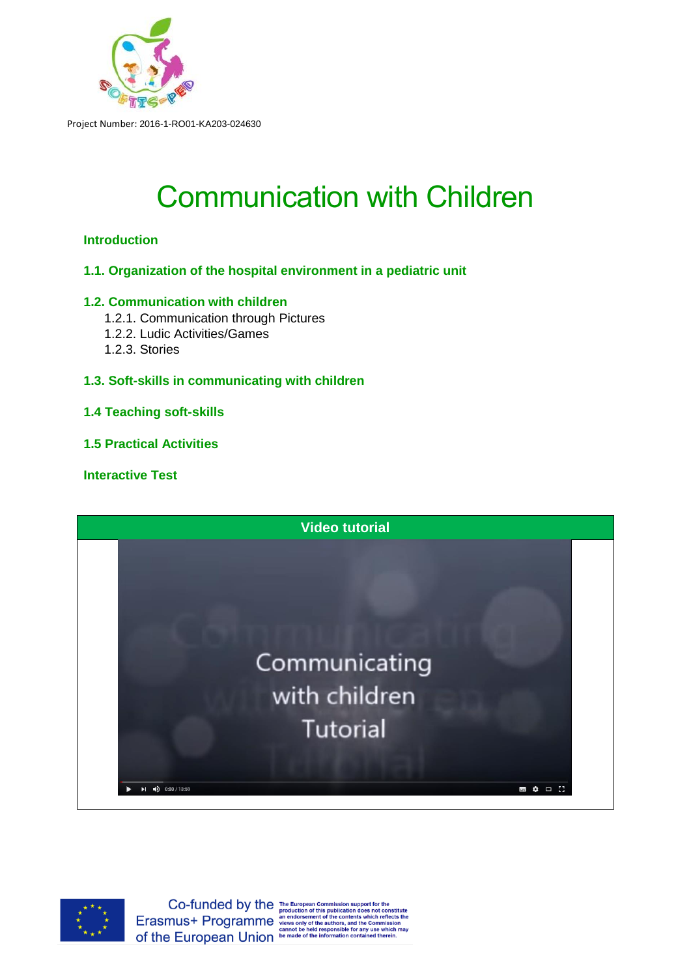

# Communication with Children

# **Introduction**

**1.1. Organization of the hospital environment in a pediatric unit**

# **1.2. Communication with children**

- 1.2.1. Communication through Pictures
- 1.2.2. Ludic Activities/Games
- 1.2.3. Stories
- **1.3. Soft-skills in communicating with children**

# **1.4 Teaching soft-skills**

**1.5 Practical Activities**

# **Interactive Test**





Co-funded by the The European Commission support for the Conduction and this publication does not C<br>Erasmust- Programme an endorsement of the contents which negation of the contents which negation of the contents with the Of the European Union be made of the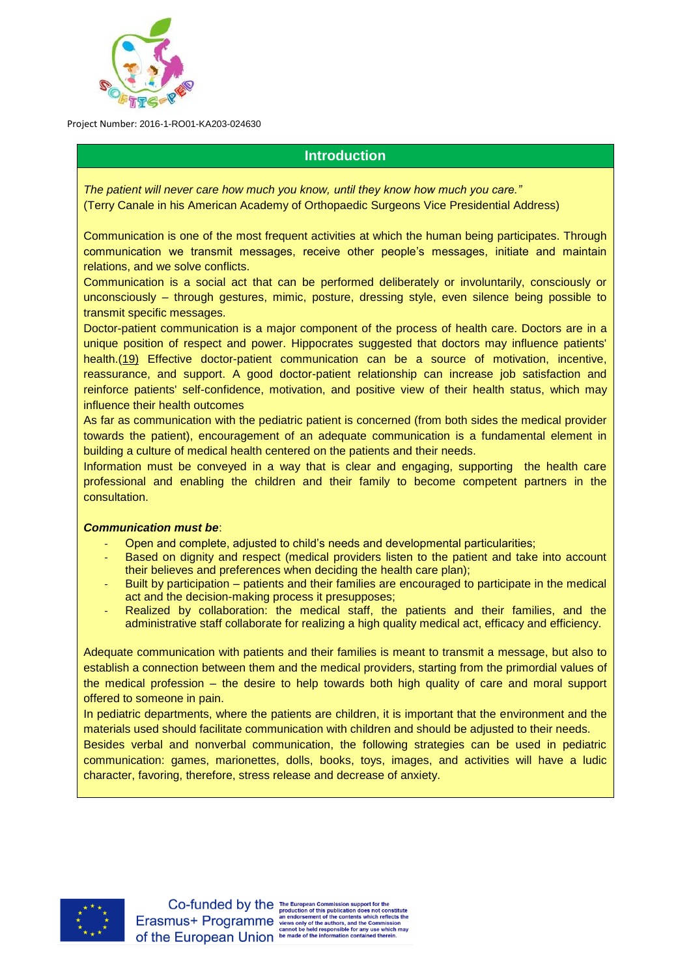

# **Introduction**

*The patient will never care how much you know, until they know how much you care."* (Terry Canale in his American Academy of Orthopaedic Surgeons Vice Presidential Address)

Communication is one of the most frequent activities at which the human being participates. Through communication we transmit messages, receive other people's messages, initiate and maintain relations, and we solve conflicts.

Communication is a social act that can be performed deliberately or involuntarily, consciously or unconsciously – through gestures, mimic, posture, dressing style, even silence being possible to transmit specific messages.

Doctor-patient communication is a major component of the process of health care. Doctors are in a unique position of respect and power. Hippocrates suggested that doctors may influence patients' health.[\(19\)](https://www.ncbi.nlm.nih.gov/pmc/articles/PMC3096184/#i1524-5012-10-1-38-Kaplan1) Effective doctor-patient communication can be a source of motivation, incentive, reassurance, and support. A good doctor-patient relationship can increase job satisfaction and reinforce patients' self-confidence, motivation, and positive view of their health status, which may influence their health outcomes

As far as communication with the pediatric patient is concerned (from both sides the medical provider towards the patient), encouragement of an adequate communication is a fundamental element in building a culture of medical health centered on the patients and their needs.

Information must be conveyed in a way that is clear and engaging, supporting the health care professional and enabling the children and their family to become competent partners in the consultation.

# *Communication must be*:

- Open and complete, adjusted to child's needs and developmental particularities;
- Based on dignity and respect (medical providers listen to the patient and take into account their believes and preferences when deciding the health care plan);
- Built by participation patients and their families are encouraged to participate in the medical act and the decision-making process it presupposes;
- Realized by collaboration: the medical staff, the patients and their families, and the administrative staff collaborate for realizing a high quality medical act, efficacy and efficiency.

Adequate communication with patients and their families is meant to transmit a message, but also to establish a connection between them and the medical providers, starting from the primordial values of the medical profession – the desire to help towards both high quality of care and moral support offered to someone in pain.

In pediatric departments, where the patients are children, it is important that the environment and the materials used should facilitate communication with children and should be adjusted to their needs.

Besides verbal and nonverbal communication, the following strategies can be used in pediatric communication: games, marionettes, dolls, books, toys, images, and activities will have a ludic character, favoring, therefore, stress release and decrease of anxiety.

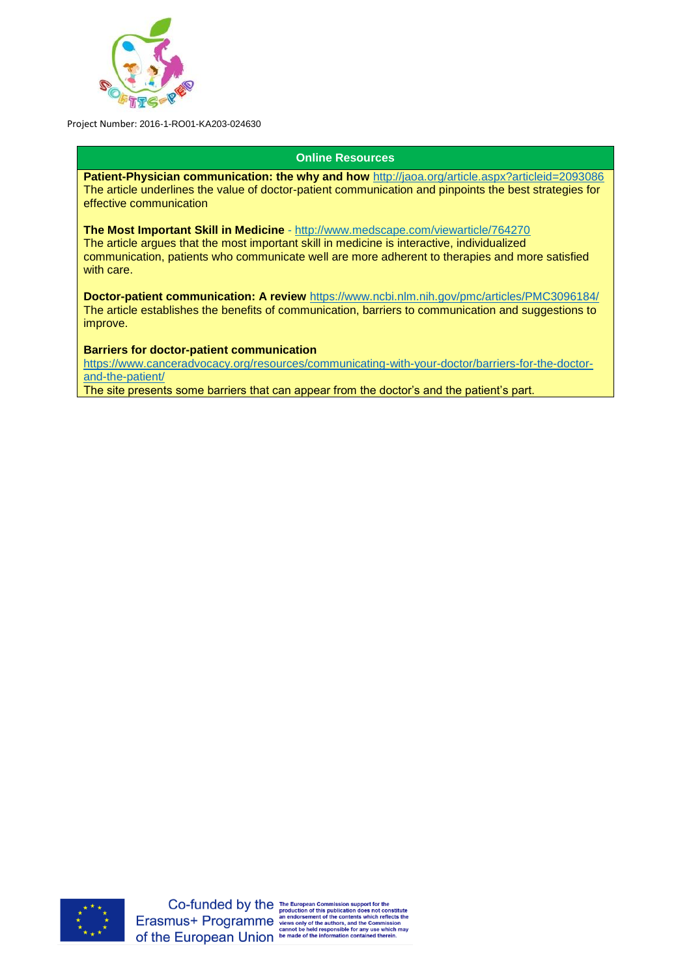

# **Online Resources**

**Patient-Physician communication: the why and how** <http://jaoa.org/article.aspx?articleid=2093086> The article underlines the value of doctor-patient communication and pinpoints the best strategies for effective communication

**The Most Important Skill in Medicine** - <http://www.medscape.com/viewarticle/764270> The article argues that the most important skill in medicine is interactive, individualized communication, patients who communicate well are more adherent to therapies and more satisfied with care.

**Doctor-patient communication: A review** <https://www.ncbi.nlm.nih.gov/pmc/articles/PMC3096184/> The article establishes the benefits of communication, barriers to communication and suggestions to improve.

## **Barriers for doctor-patient communication**

[https://www.canceradvocacy.org/resources/communicating-with-your-doctor/barriers-for-the-doctor](https://www.canceradvocacy.org/resources/communicating-with-your-doctor/barriers-for-the-doctor-and-the-patient/)[and-the-patient/](https://www.canceradvocacy.org/resources/communicating-with-your-doctor/barriers-for-the-doctor-and-the-patient/)

The site presents some barriers that can appear from the doctor's and the patient's part.

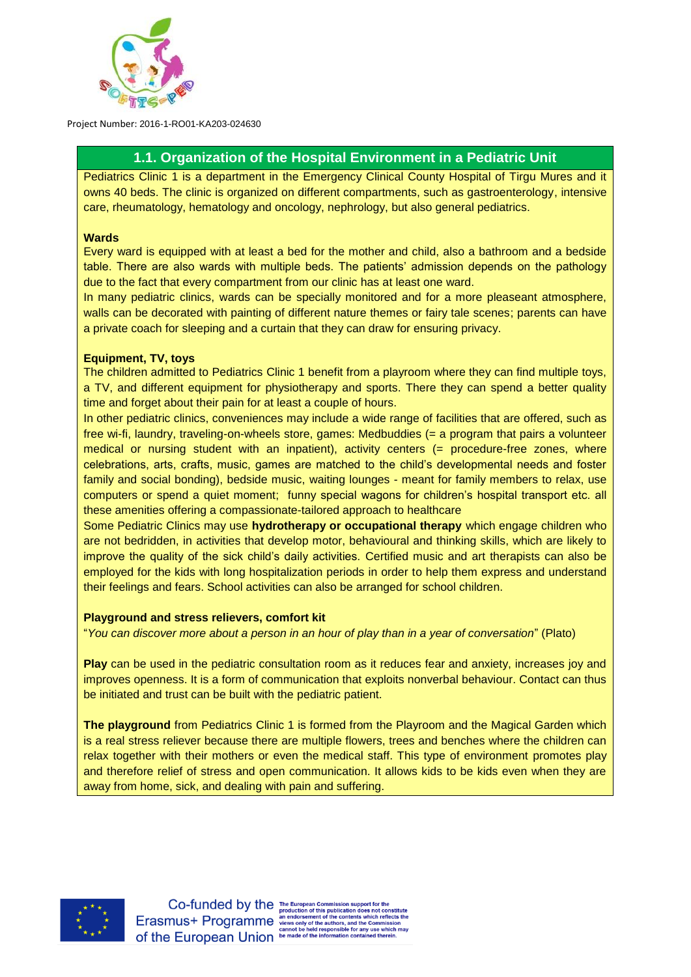

# **1.1. Organization of the Hospital Environment in a Pediatric Unit**

Pediatrics Clinic 1 is a department in the Emergency Clinical County Hospital of Tirgu Mures and it owns 40 beds. The clinic is organized on different compartments, such as gastroenterology, intensive care, rheumatology, hematology and oncology, nephrology, but also general pediatrics.

## **1.1.1. Wards**

Every ward is equipped with at least a bed for the mother and child, also a bathroom and a bedside table. There are also wards with multiple beds. The patients' admission depends on the pathology due to the fact that every compartment from our clinic has at least one ward.

In many pediatric clinics, wards can be specially monitored and for a more pleaseant atmosphere, walls can be decorated with painting of different nature themes or fairy tale scenes; parents can have a private coach for sleeping and a curtain that they can draw for ensuring privacy.

# **1.1.2. Equipment, TV, toys**

The children admitted to Pediatrics Clinic 1 benefit from a playroom where they can find multiple toys, a TV, and different equipment for physiotherapy and sports. There they can spend a better quality time and forget about their pain for at least a couple of hours.

In other pediatric clinics, conveniences may include a wide range of facilities that are offered, such as free wi-fi, laundry, traveling-on-wheels store, games: Medbuddies (= a program that pairs a volunteer medical or nursing student with an inpatient), activity centers (= procedure-free zones, where celebrations, arts, crafts, music, games are matched to the child's developmental needs and foster family and social bonding), bedside music, waiting lounges - meant for family members to relax, use computers or spend a quiet moment; funny special wagons for children's hospital transport etc. all these amenities offering a compassionate-tailored approach to healthcare

Some Pediatric Clinics may use **hydrotherapy or occupational therapy** which engage children who are not bedridden, in activities that develop motor, behavioural and thinking skills, which are likely to improve the quality of the sick child's daily activities. Certified music and art therapists can also be employed for the kids with long hospitalization periods in order to help them express and understand their feelings and fears. School activities can also be arranged for school children.

#### **Playground and stress relievers, comfort kit**

"*You can discover more about a person in an hour of play than in a year of conversation*" (Plato)

**Play** can be used in the pediatric consultation room as it reduces fear and anxiety, increases joy and improves openness. It is a form of communication that exploits nonverbal behaviour. Contact can thus be initiated and trust can be built with the pediatric patient.

**The playground** from Pediatrics Clinic 1 is formed from the Playroom and the Magical Garden which is a real stress reliever because there are multiple flowers, trees and benches where the children can relax together with their mothers or even the medical staff. This type of environment promotes play and therefore relief of stress and open communication. It allows kids to be kids even when they are away from home, sick, and dealing with pain and suffering.



ich reflects the for any use which may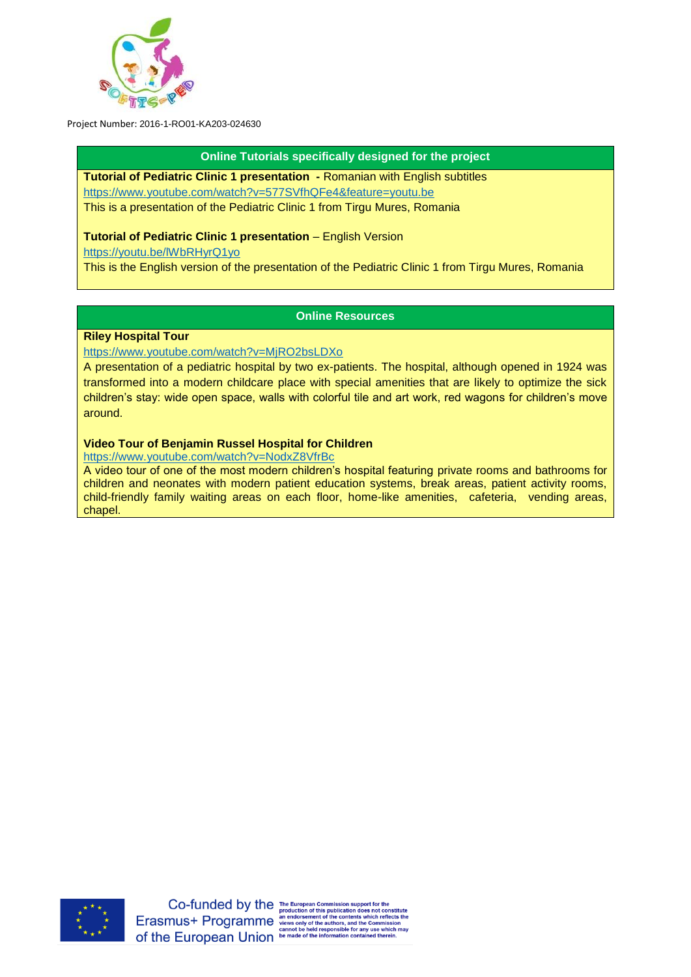

## **Online Tutorials specifically designed for the project**

**Tutorial of Pediatric Clinic 1 presentation -** Romanian with English subtitles <https://www.youtube.com/watch?v=577SVfhQFe4&feature=youtu.be> This is a presentation of the Pediatric Clinic 1 from Tirgu Mures, Romania

# **Tutorial of Pediatric Clinic 1 presentation** – English Version

<https://youtu.be/lWbRHyrQ1yo>

This is the English version of the presentation of the Pediatric Clinic 1 from Tirgu Mures, Romania

# **Online Resources**

# **Riley Hospital Tour**

<https://www.youtube.com/watch?v=MjRO2bsLDXo>

A presentation of a pediatric hospital by two ex-patients. The hospital, although opened in 1924 was transformed into a modern childcare place with special amenities that are likely to optimize the sick children's stay: wide open space, walls with colorful tile and art work, red wagons for children's move around.

# **Video Tour of Benjamin Russel Hospital for Children**

<https://www.youtube.com/watch?v=NodxZ8VfrBc>

A video tour of one of the most modern children's hospital featuring private rooms and bathrooms for children and neonates with modern patient education systems, break areas, patient activity rooms, child-friendly family waiting areas on each floor, home-like amenities, cafeteria, vending areas, chapel.

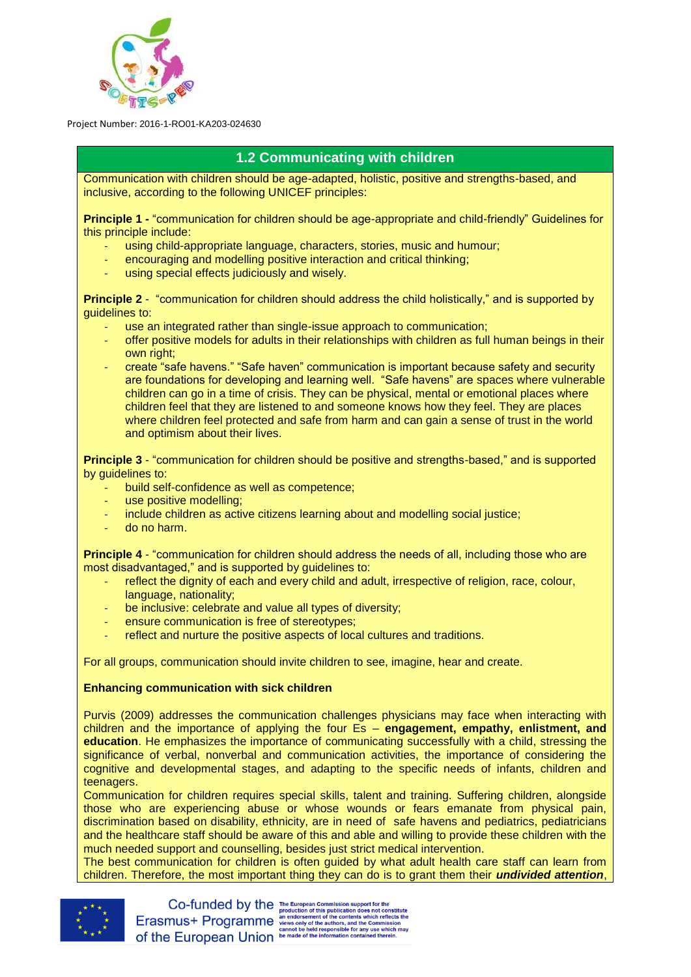

# **1.2 Communicating with children**

Communication with children should be age-adapted, holistic, positive and strengths-based, and inclusive, according to the following UNICEF principles:

**Principle 1 -** "communication for children should be age-appropriate and child-friendly" Guidelines for this principle include:

- using child-appropriate language, characters, stories, music and humour;
- encouraging and modelling positive interaction and critical thinking;
- using special effects judiciously and wisely.

**Principle 2** - "communication for children should address the child holistically," and is supported by guidelines to:

- use an integrated rather than single-issue approach to communication;
- offer positive models for adults in their relationships with children as full human beings in their own right:
- create "safe havens." "Safe haven" communication is important because safety and security are foundations for developing and learning well. "Safe havens" are spaces where vulnerable children can go in a time of crisis. They can be physical, mental or emotional places where children feel that they are listened to and someone knows how they feel. They are places where children feel protected and safe from harm and can gain a sense of trust in the world and optimism about their lives.

**Principle 3** - "communication for children should be positive and strengths-based," and is supported by guidelines to:

- build self-confidence as well as competence;
- use positive modelling;
- include children as active citizens learning about and modelling social justice;
- do no harm.

**Principle 4** - "communication for children should address the needs of all, including those who are most disadvantaged," and is supported by guidelines to:

- reflect the dignity of each and every child and adult, irrespective of religion, race, colour, language, nationality;
- be inclusive: celebrate and value all types of diversity;
- ensure communication is free of stereotypes;
- reflect and nurture the positive aspects of local cultures and traditions.

For all groups, communication should invite children to see, imagine, hear and create.

# **Enhancing communication with sick children**

Purvis (2009) addresses the communication challenges physicians may face when interacting with children and the importance of applying the four Es – **engagement, empathy, enlistment, and education**. He emphasizes the importance of communicating successfully with a child, stressing the significance of verbal, nonverbal and communication activities, the importance of considering the cognitive and developmental stages, and adapting to the specific needs of infants, children and teenagers.

Communication for children requires special skills, talent and training. Suffering children, alongside those who are experiencing abuse or whose wounds or fears emanate from physical pain, discrimination based on disability, ethnicity, are in need of safe havens and pediatrics, pediatricians and the healthcare staff should be aware of this and able and willing to provide these children with the much needed support and counselling, besides just strict medical intervention.

The best communication for children is often guided by what adult health care staff can learn from children. Therefore, the most important thing they can do is to grant them their *undivided attention*,

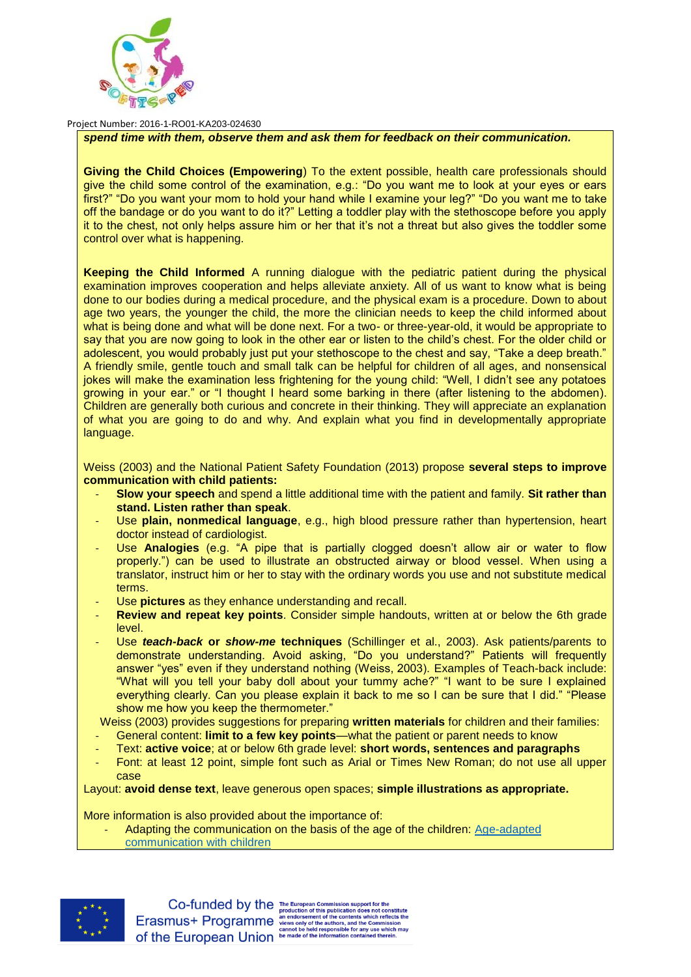

## *spend time with them, observe them and ask them for feedback on their communication.*

**Giving the Child Choices (Empowering**) To the extent possible, health care professionals should give the child some control of the examination, e.g.: "Do you want me to look at your eyes or ears first?" "Do you want your mom to hold your hand while I examine your leg?" "Do you want me to take off the bandage or do you want to do it?" Letting a toddler play with the stethoscope before you apply it to the chest, not only helps assure him or her that it's not a threat but also gives the toddler some control over what is happening.

**Keeping the Child Informed** A running dialogue with the pediatric patient during the physical examination improves cooperation and helps alleviate anxiety. All of us want to know what is being done to our bodies during a medical procedure, and the physical exam is a procedure. Down to about age two years, the younger the child, the more the clinician needs to keep the child informed about what is being done and what will be done next. For a two- or three-year-old, it would be appropriate to say that you are now going to look in the other ear or listen to the child's chest. For the older child or adolescent, you would probably just put your stethoscope to the chest and say, "Take a deep breath." A friendly smile, gentle touch and small talk can be helpful for children of all ages, and nonsensical jokes will make the examination less frightening for the young child: "Well, I didn't see any potatoes growing in your ear." or "I thought I heard some barking in there (after listening to the abdomen). Children are generally both curious and concrete in their thinking. They will appreciate an explanation of what you are going to do and why. And explain what you find in developmentally appropriate language.

Weiss (2003) and the National Patient Safety Foundation (2013) propose **several steps to improve communication with child patients:**

- **Slow your speech** and spend a little additional time with the patient and family. **Sit rather than stand. Listen rather than speak**.
- Use plain, nonmedical language, e.g., high blood pressure rather than hypertension, heart doctor instead of cardiologist.
- Use Analogies (e.g. "A pipe that is partially clogged doesn't allow air or water to flow properly.") can be used to illustrate an obstructed airway or blood vessel. When using a translator, instruct him or her to stay with the ordinary words you use and not substitute medical terms.
- Use **pictures** as they enhance understanding and recall.
- **Review and repeat key points**. Consider simple handouts, written at or below the 6th grade level.
- Use *teach-back* **or** *show-me* **techniques** (Schillinger et al., 2003). Ask patients/parents to demonstrate understanding. Avoid asking, "Do you understand?" Patients will frequently answer "yes" even if they understand nothing (Weiss, 2003). Examples of Teach-back include: "What will you tell your baby doll about your tummy ache?" "I want to be sure I explained everything clearly. Can you please explain it back to me so I can be sure that I did." "Please show me how you keep the thermometer."

Weiss (2003) provides suggestions for preparing **written materials** for children and their families:

- General content: **limit to a few key points**—what the patient or parent needs to know
- Text: **active voice**; at or below 6th grade level: **short words, sentences and paragraphs**
- Font: at least 12 point, simple font such as Arial or Times New Roman; do not use all upper case

Layout: **avoid dense text**, leave generous open spaces; **simple illustrations as appropriate.**

More information is also provided about the importance of:

Adapting the communication on the basis of the age of the children: Age-adapted [communication with children](http://softis-ped.pixel-online.org/files/training/IO2/1/1.2_Age-adapted_communication_with_children.pdf)



e for any use which ma<mark>y</mark><br>n contained therein.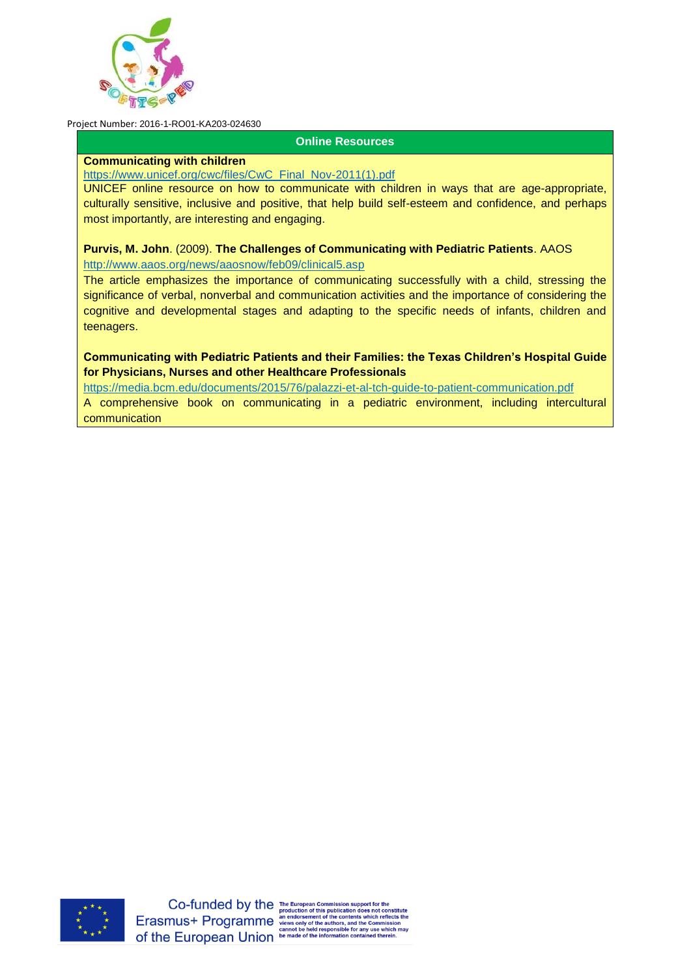

## **Online Resources**

#### **Communicating with children**

[https://www.unicef.org/cwc/files/CwC\\_Final\\_Nov-2011\(1\).pdf](https://www.unicef.org/cwc/files/CwC_Final_Nov-2011(1).pdf)

UNICEF online resource on how to communicate with children in ways that are age-appropriate, culturally sensitive, inclusive and positive, that help build self-esteem and confidence, and perhaps most importantly, are interesting and engaging.

**Purvis, M. John**. (2009). **The Challenges of Communicating with Pediatric Patients**. AAOS <http://www.aaos.org/news/aaosnow/feb09/clinical5.asp>

The article emphasizes the importance of communicating successfully with a child, stressing the significance of verbal, nonverbal and communication activities and the importance of considering the cognitive and developmental stages and adapting to the specific needs of infants, children and teenagers.

**Communicating with Pediatric Patients and their Families: the Texas Children's Hospital Guide for Physicians, Nurses and other Healthcare Professionals**

<https://media.bcm.edu/documents/2015/76/palazzi-et-al-tch-guide-to-patient-communication.pdf>

A comprehensive book on communicating in a pediatric environment, including intercultural communication

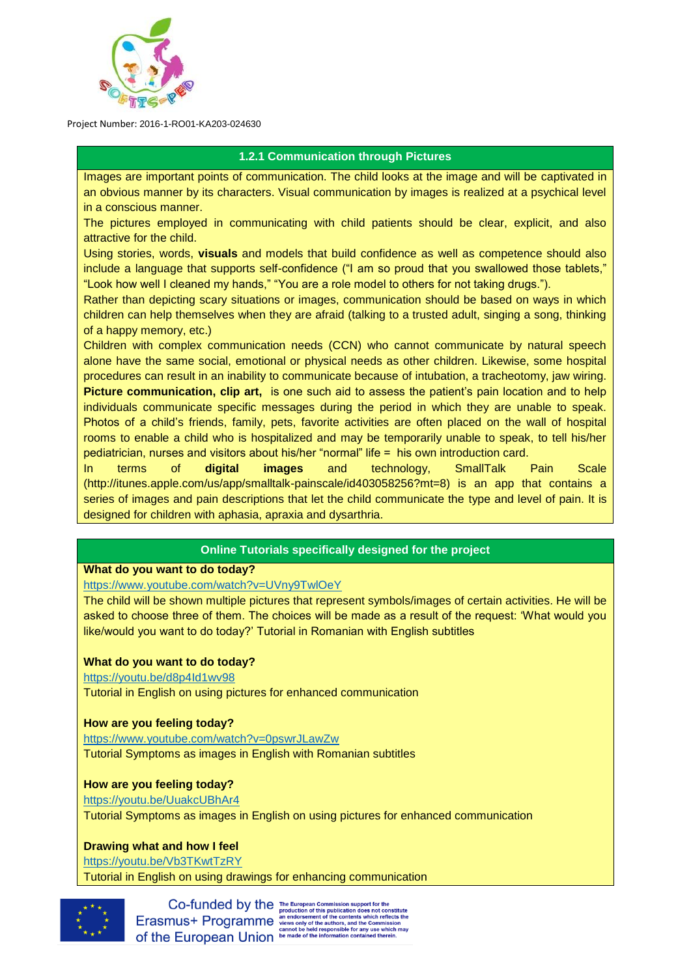

# **1.2.1 Communication through Pictures**

Images are important points of communication. The child looks at the image and will be captivated in an obvious manner by its characters. Visual communication by images is realized at a psychical level in a conscious manner.

The pictures employed in communicating with child patients should be clear, explicit, and also attractive for the child.

Using stories, words, **visuals** and models that build confidence as well as competence should also include a language that supports self-confidence ("I am so proud that you swallowed those tablets," "Look how well I cleaned my hands," "You are a role model to others for not taking drugs.").

Rather than depicting scary situations or images, communication should be based on ways in which children can help themselves when they are afraid (talking to a trusted adult, singing a song, thinking of a happy memory, etc.)

Children with complex communication needs (CCN) who cannot communicate by natural speech alone have the same social, emotional or physical needs as other children. Likewise, some hospital procedures can result in an inability to communicate because of intubation, a tracheotomy, jaw wiring. **Picture communication, clip art,** is one such aid to assess the patient's pain location and to help individuals communicate specific messages during the period in which they are unable to speak. Photos of a child's friends, family, pets, favorite activities are often placed on the wall of hospital rooms to enable a child who is hospitalized and may be temporarily unable to speak, to tell his/her pediatrician, nurses and visitors about his/her "normal" life = his own introduction card.

In terms of **digital images** and technology, SmallTalk Pain Scale (http://itunes.apple.com/us/app/smalltalk-painscale/id403058256?mt=8) is an app that contains a series of images and pain descriptions that let the child communicate the type and level of pain. It is designed for children with aphasia, apraxia and dysarthria.

# **Online Tutorials specifically designed for the project**

# **What do you want to do today?**

<https://www.youtube.com/watch?v=UVny9TwlOeY>

The child will be shown multiple pictures that represent symbols/images of certain activities. He will be asked to choose three of them. The choices will be made as a result of the request: 'What would you like/would you want to do today?' Tutorial in Romanian with English subtitles

# **What do you want to do today?**

<https://youtu.be/d8p4Id1wv98>

Tutorial in English on using pictures for enhanced communication

# **How are you feeling today?**

<https://www.youtube.com/watch?v=0pswrJLawZw> Tutorial Symptoms as images in English with Romanian subtitles

# **How are you feeling today?**

<https://youtu.be/UuakcUBhAr4> Tutorial Symptoms as images in English on using pictures for enhanced communication

# **Drawing what and how I feel**

<https://youtu.be/Vb3TKwtTzRY>

Tutorial in English on using drawings for enhancing communication



Co-funded by the The European Commission support for the<br>Erasmus+ Programme and constant of this publication does not constitute<br>Erasmus+ Programme are oriented the contents which reflects the of the European Union be made of the information contact the European Union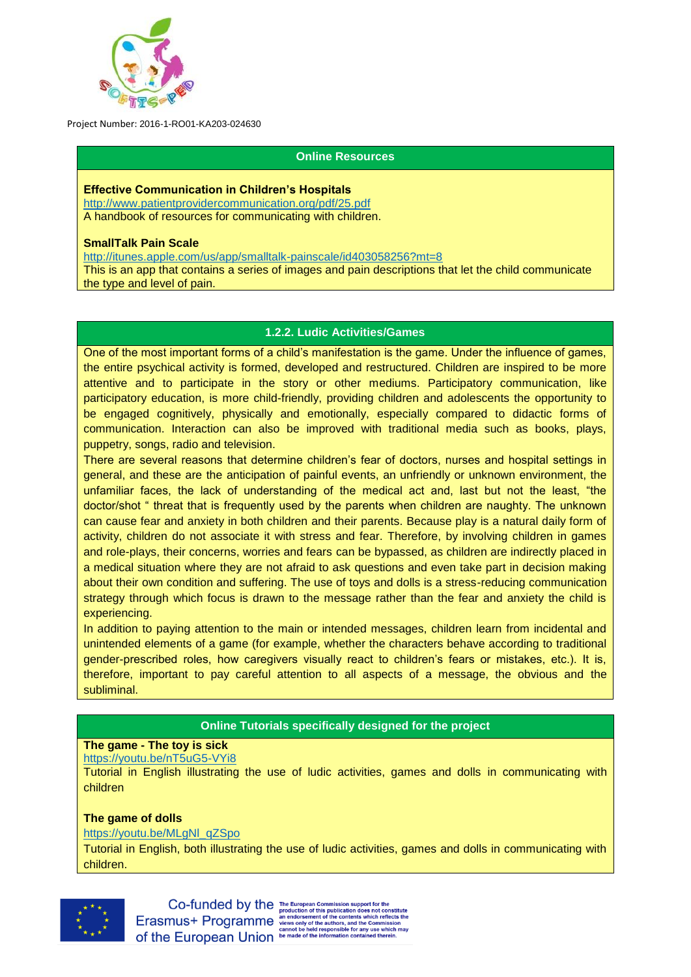

## **Online Resources**

#### **Effective Communication in Children's Hospitals**

<http://www.patientprovidercommunication.org/pdf/25.pdf> A handbook of resources for communicating with children.

#### **SmallTalk Pain Scale**

<http://itunes.apple.com/us/app/smalltalk-painscale/id403058256?mt=8> This is an app that contains a series of images and pain descriptions that let the child communicate the type and level of pain.

## **1.2.2. Ludic Activities/Games**

One of the most important forms of a child's manifestation is the game. Under the influence of games, the entire psychical activity is formed, developed and restructured. Children are inspired to be more attentive and to participate in the story or other mediums. Participatory communication, like participatory education, is more child-friendly, providing children and adolescents the opportunity to be engaged cognitively, physically and emotionally, especially compared to didactic forms of communication. Interaction can also be improved with traditional media such as books, plays, puppetry, songs, radio and television.

There are several reasons that determine children's fear of doctors, nurses and hospital settings in general, and these are the anticipation of painful events, an unfriendly or unknown environment, the unfamiliar faces, the lack of understanding of the medical act and, last but not the least, "the doctor/shot " threat that is frequently used by the parents when children are naughty. The unknown can cause fear and anxiety in both children and their parents. Because play is a natural daily form of activity, children do not associate it with stress and fear. Therefore, by involving children in games and role-plays, their concerns, worries and fears can be bypassed, as children are indirectly placed in a medical situation where they are not afraid to ask questions and even take part in decision making about their own condition and suffering. The use of toys and dolls is a stress-reducing communication strategy through which focus is drawn to the message rather than the fear and anxiety the child is experiencing.

In addition to paying attention to the main or intended messages, children learn from incidental and unintended elements of a game (for example, whether the characters behave according to traditional gender-prescribed roles, how caregivers visually react to children's fears or mistakes, etc.). It is, therefore, important to pay careful attention to all aspects of a message, the obvious and the subliminal.

# **Online Tutorials specifically designed for the project**

# **The game - The toy is sick**

#### <https://youtu.be/nT5uG5-VYi8>

Tutorial in English illustrating the use of ludic activities, games and dolls in communicating with children

## **The game of dolls**

#### [https://youtu.be/MLgNl\\_qZSpo](https://youtu.be/MLgNl_qZSpo)

Tutorial in English, both illustrating the use of ludic activities, games and dolls in communicating with children.



Co-funded by the The European Commission support for the<br>Erasmus+ Programme and constant of this publication does not constitute<br>Erasmus+ Programme are one one of the contents which reflects the of the European Union be made of the information conta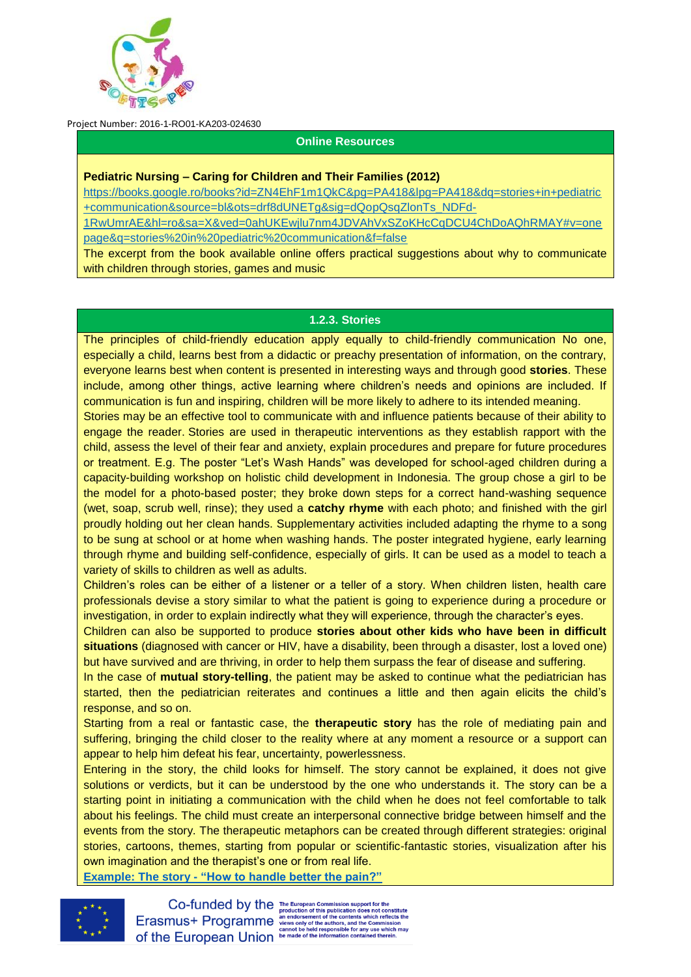

#### **Online Resources**

#### **Pediatric Nursing – Caring for Children and Their Families (2012)**

[https://books.google.ro/books?id=ZN4EhF1m1QkC&pg=PA418&lpg=PA418&dq=stories+in+pediatric](https://books.google.ro/books?id=ZN4EhF1m1QkC&pg=PA418&lpg=PA418&dq=stories+in+pediatric+communication&source=bl&ots=drf8dUNETg&sig=dQopQsqZlonTs_NDFd-1RwUmrAE&hl=ro&sa=X&ved=0ahUKEwjlu7nm4JDVAhVxSZoKHcCqDCU4ChDoAQhRMAY#v=onepage&q=stories%20in%20pediatric%20communication&f=false) [+communication&source=bl&ots=drf8dUNETg&sig=dQopQsqZlonTs\\_NDFd-](https://books.google.ro/books?id=ZN4EhF1m1QkC&pg=PA418&lpg=PA418&dq=stories+in+pediatric+communication&source=bl&ots=drf8dUNETg&sig=dQopQsqZlonTs_NDFd-1RwUmrAE&hl=ro&sa=X&ved=0ahUKEwjlu7nm4JDVAhVxSZoKHcCqDCU4ChDoAQhRMAY#v=onepage&q=stories%20in%20pediatric%20communication&f=false)

[1RwUmrAE&hl=ro&sa=X&ved=0ahUKEwjlu7nm4JDVAhVxSZoKHcCqDCU4ChDoAQhRMAY#v=one](https://books.google.ro/books?id=ZN4EhF1m1QkC&pg=PA418&lpg=PA418&dq=stories+in+pediatric+communication&source=bl&ots=drf8dUNETg&sig=dQopQsqZlonTs_NDFd-1RwUmrAE&hl=ro&sa=X&ved=0ahUKEwjlu7nm4JDVAhVxSZoKHcCqDCU4ChDoAQhRMAY#v=onepage&q=stories%20in%20pediatric%20communication&f=false) [page&q=stories%20in%20pediatric%20communication&f=false](https://books.google.ro/books?id=ZN4EhF1m1QkC&pg=PA418&lpg=PA418&dq=stories+in+pediatric+communication&source=bl&ots=drf8dUNETg&sig=dQopQsqZlonTs_NDFd-1RwUmrAE&hl=ro&sa=X&ved=0ahUKEwjlu7nm4JDVAhVxSZoKHcCqDCU4ChDoAQhRMAY#v=onepage&q=stories%20in%20pediatric%20communication&f=false)

The excerpt from the book available online offers practical suggestions about why to communicate with children through stories, games and music

#### **1.2.3. Stories**

The principles of child-friendly education apply equally to child-friendly communication No one, especially a child, learns best from a didactic or preachy presentation of information, on the contrary, everyone learns best when content is presented in interesting ways and through good **stories**. These include, among other things, active learning where children's needs and opinions are included. If communication is fun and inspiring, children will be more likely to adhere to its intended meaning.

Stories may be an effective tool to communicate with and influence patients because of their ability to engage the reader. Stories are used in therapeutic interventions as they establish rapport with the child, assess the level of their fear and anxiety, explain procedures and prepare for future procedures or treatment. E.g. The poster "Let's Wash Hands" was developed for school-aged children during a capacity-building workshop on holistic child development in Indonesia. The group chose a girl to be the model for a photo-based poster; they broke down steps for a correct hand-washing sequence (wet, soap, scrub well, rinse); they used a **catchy rhyme** with each photo; and finished with the girl proudly holding out her clean hands. Supplementary activities included adapting the rhyme to a song to be sung at school or at home when washing hands. The poster integrated hygiene, early learning through rhyme and building self-confidence, especially of girls. It can be used as a model to teach a variety of skills to children as well as adults.

Children's roles can be either of a listener or a teller of a story. When children listen, health care professionals devise a story similar to what the patient is going to experience during a procedure or investigation, in order to explain indirectly what they will experience, through the character's eyes.

Children can also be supported to produce **stories about other kids who have been in difficult situations** (diagnosed with cancer or HIV, have a disability, been through a disaster, lost a loved one) but have survived and are thriving, in order to help them surpass the fear of disease and suffering.

In the case of **mutual story-telling**, the patient may be asked to continue what the pediatrician has started, then the pediatrician reiterates and continues a little and then again elicits the child's response, and so on.

Starting from a real or fantastic case, the **therapeutic story** has the role of mediating pain and suffering, bringing the child closer to the reality where at any moment a resource or a support can appear to help him defeat his fear, uncertainty, powerlessness.

Entering in the story, the child looks for himself. The story cannot be explained, it does not give solutions or verdicts, but it can be understood by the one who understands it. The story can be a starting point in initiating a communication with the child when he does not feel comfortable to talk about his feelings. The child must create an interpersonal connective bridge between himself and the events from the story. The therapeutic metaphors can be created through different strategies: original stories, cartoons, themes, starting from popular or scientific-fantastic stories, visualization after his own imagination and the therapist's one or from real life.

**Example: The story - ["How to handle better the pain?"](http://softis-ped.pixel-online.org/files/training/IO2/5/1.3_How_to_handle_better_the_pain.pdf)**



Co-funded by the The European Commission support for the<br>Erasmus+ Programme and this publication does not constitute<br>Erasmus+ Programme and orsement of the contents which reflects the<br>of the European Union be media respons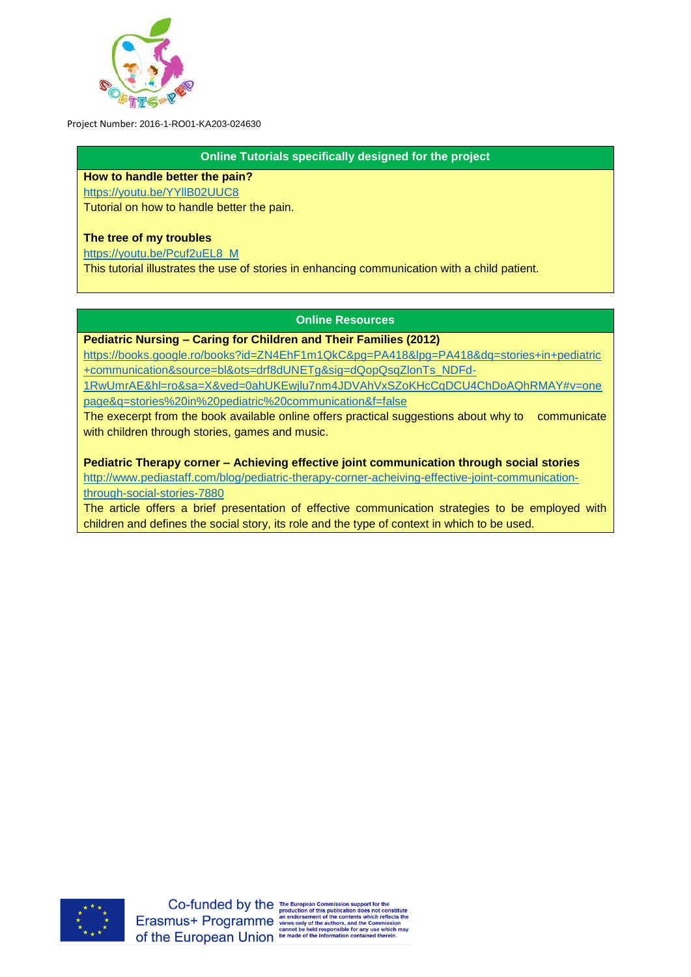

**Online Tutorials specifically designed for the project**

**How to handle better the pain?** <https://youtu.be/YYllB02UUC8>

Tutorial on how to handle better the pain.

# **The tree of my troubles**

[https://youtu.be/Pcuf2uEL8\\_M](https://youtu.be/Pcuf2uEL8_M)

This tutorial illustrates the use of stories in enhancing communication with a child patient.

# **Online Resources**

**Pediatric Nursing – Caring for Children and Their Families (2012)** 

[https://books.google.ro/books?id=ZN4EhF1m1QkC&pg=PA418&lpg=PA418&dq=stories+in+pediatric](https://books.google.ro/books?id=ZN4EhF1m1QkC&pg=PA418&lpg=PA418&dq=stories+in+pediatric+communication&source=bl&ots=drf8dUNETg&sig=dQopQsqZlonTs_NDFd-1RwUmrAE&hl=ro&sa=X&ved=0ahUKEwjlu7nm4JDVAhVxSZoKHcCqDCU4ChDoAQhRMAY#v=onepage&q=stories%20in%20pediatric%20communication&f=false) [+communication&source=bl&ots=drf8dUNETg&sig=dQopQsqZlonTs\\_NDFd-](https://books.google.ro/books?id=ZN4EhF1m1QkC&pg=PA418&lpg=PA418&dq=stories+in+pediatric+communication&source=bl&ots=drf8dUNETg&sig=dQopQsqZlonTs_NDFd-1RwUmrAE&hl=ro&sa=X&ved=0ahUKEwjlu7nm4JDVAhVxSZoKHcCqDCU4ChDoAQhRMAY#v=onepage&q=stories%20in%20pediatric%20communication&f=false)

[1RwUmrAE&hl=ro&sa=X&ved=0ahUKEwjlu7nm4JDVAhVxSZoKHcCqDCU4ChDoAQhRMAY#v=one](https://books.google.ro/books?id=ZN4EhF1m1QkC&pg=PA418&lpg=PA418&dq=stories+in+pediatric+communication&source=bl&ots=drf8dUNETg&sig=dQopQsqZlonTs_NDFd-1RwUmrAE&hl=ro&sa=X&ved=0ahUKEwjlu7nm4JDVAhVxSZoKHcCqDCU4ChDoAQhRMAY#v=onepage&q=stories%20in%20pediatric%20communication&f=false) [page&q=stories%20in%20pediatric%20communication&f=false](https://books.google.ro/books?id=ZN4EhF1m1QkC&pg=PA418&lpg=PA418&dq=stories+in+pediatric+communication&source=bl&ots=drf8dUNETg&sig=dQopQsqZlonTs_NDFd-1RwUmrAE&hl=ro&sa=X&ved=0ahUKEwjlu7nm4JDVAhVxSZoKHcCqDCU4ChDoAQhRMAY#v=onepage&q=stories%20in%20pediatric%20communication&f=false)

The execerpt from the book available online offers practical suggestions about why to communicate with children through stories, games and music.

**Pediatric Therapy corner – Achieving effective joint communication through social stories**

[http://www.pediastaff.com/blog/pediatric-therapy-corner-acheiving-effective-joint-communication](http://www.pediastaff.com/blog/pediatric-therapy-corner-acheiving-effective-joint-communication-through-social-stories-7880)[through-social-stories-7880](http://www.pediastaff.com/blog/pediatric-therapy-corner-acheiving-effective-joint-communication-through-social-stories-7880)

The article offers a brief presentation of effective communication strategies to be employed with children and defines the social story, its role and the type of context in which to be used.



for any use which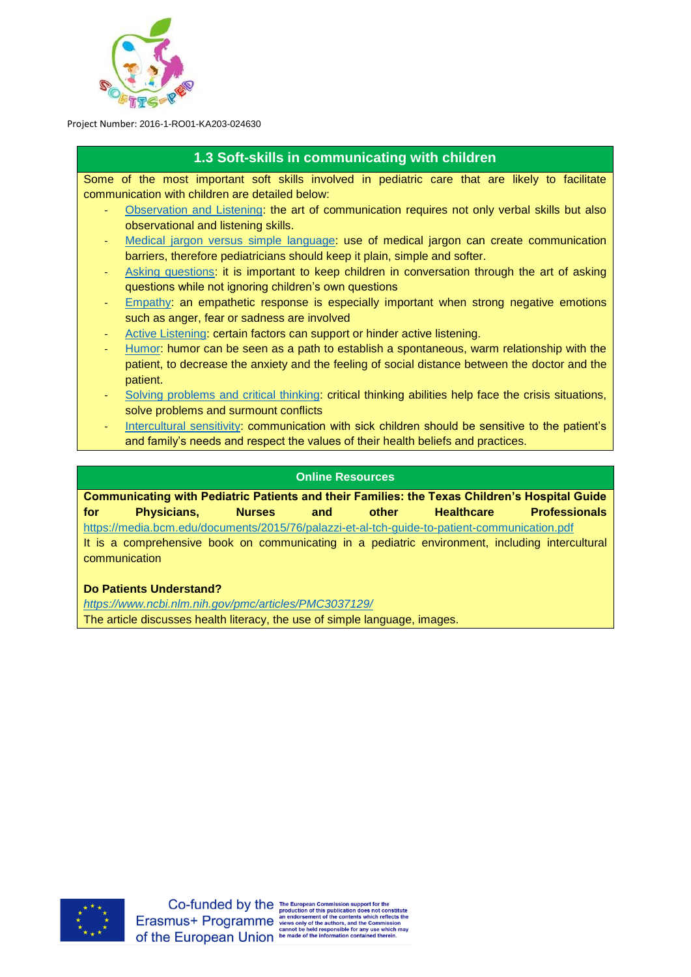

# **1.3 Soft-skills in communicating with children**

Some of the most important soft skills involved in pediatric care that are likely to facilitate communication with children are detailed below:

- [Observation and Listening:](http://softis-ped.pixel-online.org/files/training/IO2/1/1.3_Observation_and_Listening.pdf) the art of communication requires not only verbal skills but also observational and listening skills.
- [Medical jargon versus simple language:](http://softis-ped.pixel-online.org/files/training/IO2/1/1.3_Medical_jargon.pdf) use of medical jargon can create communication barriers, therefore pediatricians should keep it plain, simple and softer.
- [Asking questions:](http://softis-ped.pixel-online.org/files/training/IO2/1/1.3_Asking_questions.pdf) it is important to keep children in conversation through the art of asking questions while not ignoring children's own questions
- [Empathy:](http://softis-ped.pixel-online.org/files/training/IO2/1/1.3_Empathy.pdf) an empathetic response is especially important when strong negative emotions such as anger, fear or sadness are involved
- [Active Listening:](http://softis-ped.pixel-online.org/files/training/IO2/1/1.3_Active_Listening.pdf) certain factors can support or hinder active listening.
- [Humor:](http://softis-ped.pixel-online.org/files/training/IO2/1/1.3_Humor.pdf) humor can be seen as a path to establish a spontaneous, warm relationship with the patient, to decrease the anxiety and the feeling of social distance between the doctor and the patient.
- [Solving problems and critical thinking:](http://softis-ped.pixel-online.org/files/training/IO2/1/1.3_Solving_problems.pdf) critical thinking abilities help face the crisis situations, solve problems and surmount conflicts
- [Intercultural sensitivity:](http://softis-ped.pixel-online.org/files/training/IO2/1/1.3_Intercultural_sensitivity.pdf) communication with sick children should be sensitive to the patient's and family's needs and respect the values of their health beliefs and practices.

## **Online Resources**

**Communicating with Pediatric Patients and their Families: the Texas Children's Hospital Guide for Physicians, Nurses and other Healthcare Professionals** <https://media.bcm.edu/documents/2015/76/palazzi-et-al-tch-guide-to-patient-communication.pdf> It is a comprehensive book on communicating in a pediatric environment, including intercultural communication

# **Do Patients Understand?**

*<https://www.ncbi.nlm.nih.gov/pmc/articles/PMC3037129/>* The article discusses health literacy, the use of simple language, images.

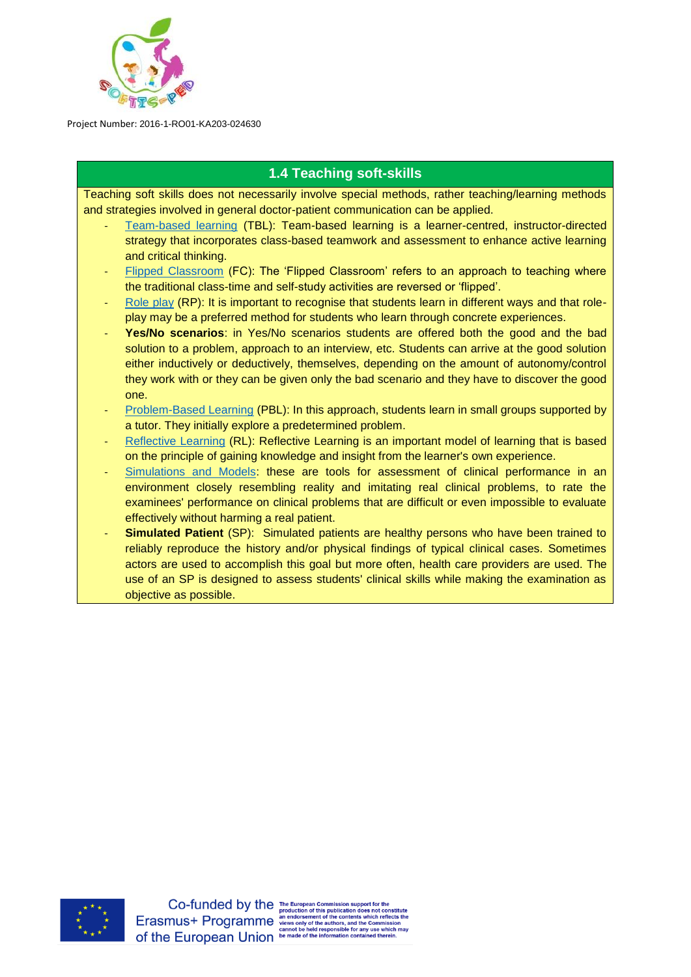

# **1.4 Teaching soft-skills**

Teaching soft skills does not necessarily involve special methods, rather teaching/learning methods and strategies involved in general doctor-patient communication can be applied.

- [Team-based learning](http://softis-ped.pixel-online.org/files/training/IO2/1/1.4_TBL.pdf) (TBL): Team-based learning is a learner-centred, instructor-directed strategy that incorporates class-based teamwork and assessment to enhance active learning and critical thinking.
- [Flipped Classroom](http://softis-ped.pixel-online.org/files/training/IO2/1/1.4_FC.pdf) (FC): The 'Flipped Classroom' refers to an approach to teaching where the traditional class-time and self-study activities are reversed or 'flipped'.
- [Role play](http://softis-ped.pixel-online.org/files/training/IO2/1/1.4_RP.pdf) (RP): It is important to recognise that students learn in different ways and that roleplay may be a preferred method for students who learn through concrete experiences.
- Yes/No scenarios: in Yes/No scenarios students are offered both the good and the bad solution to a problem, approach to an interview, etc. Students can arrive at the good solution either inductively or deductively, themselves, depending on the amount of autonomy/control they work with or they can be given only the bad scenario and they have to discover the good one.
- [Problem-Based Learning](http://softis-ped.pixel-online.org/files/training/IO2/1/1.4_PBL.pdf) (PBL): In this approach, students learn in small groups supported by a tutor. They initially explore a predetermined problem.
- [Reflective Learning](http://softis-ped.pixel-online.org/files/training/IO2/1/1.4_RL.pdf) (RL): Reflective Learning is an important model of learning that is based on the principle of gaining knowledge and insight from the learner's own experience.
- [Simulations and Models:](http://softis-ped.pixel-online.org/files/training/IO2/1/1.4_SM.pdf) these are tools for assessment of clinical performance in an environment closely resembling reality and imitating real clinical problems, to rate the examinees' performance on clinical problems that are difficult or even impossible to evaluate effectively without harming a real patient.
- **Simulated Patient** (SP): Simulated patients are healthy persons who have been trained to reliably reproduce the history and/or physical findings of typical clinical cases. Sometimes actors are used to accomplish this goal but more often, health care providers are used. The use of an SP is designed to assess students' clinical skills while making the examination as objective as possible.



Co-funded by the The European Commission support for the publication does not c rs, and the Com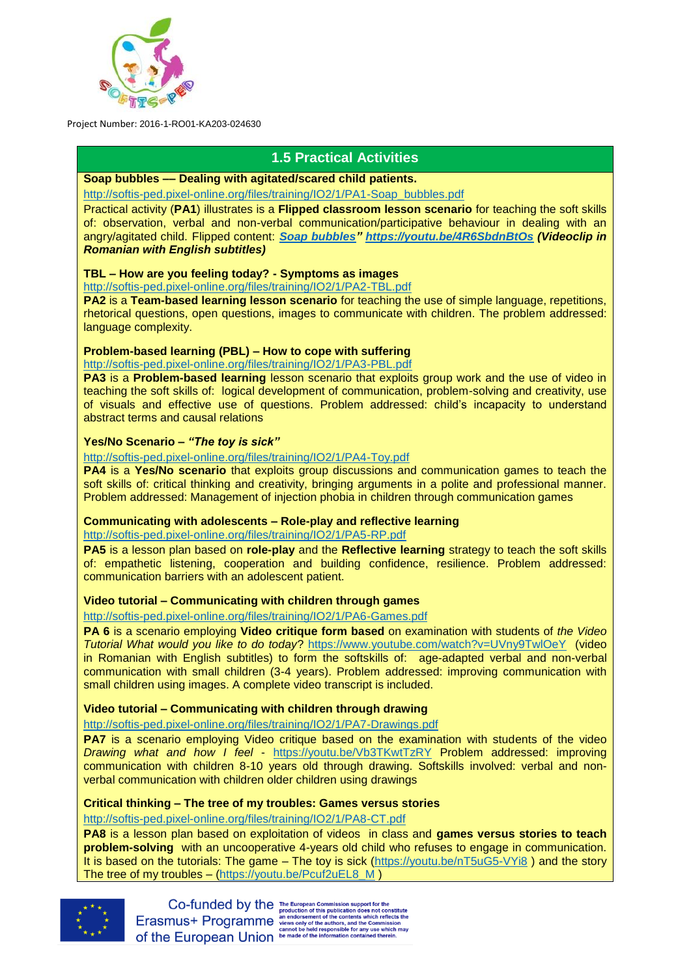

# **1.5 Practical Activities**

# **Soap bubbles –– Dealing with agitated/scared child patients.**

[http://softis-ped.pixel-online.org/files/training/IO2/1/PA1-Soap\\_bubbles.pdf](http://softis-ped.pixel-online.org/files/training/IO2/1/PA1-Soap_bubbles.pdf)

Practical activity (**PA1**) illustrates is a **Flipped classroom lesson scenario** for teaching the soft skills of: observation, verbal and non-verbal communication/participative behaviour in dealing with an angry/agitated child. Flipped content: *[Soap bubbles"](https://youtu.be/4R6SbdnBtOs) <https://youtu.be/4R6SbdnBtOs> (Videoclip in Romanian with English subtitles)*

## **TBL – How are you feeling today? - Symptoms as images**

<http://softis-ped.pixel-online.org/files/training/IO2/1/PA2-TBL.pdf>

**PA2** is a **Team-based learning lesson scenario** for teaching the use of simple language, repetitions, rhetorical questions, open questions, images to communicate with children. The problem addressed: language complexity.

## **Problem-based learning (PBL) – How to cope with suffering**

<http://softis-ped.pixel-online.org/files/training/IO2/1/PA3-PBL.pdf>

**PA3** is a **Problem-based learning** lesson scenario that exploits group work and the use of video in teaching the soft skills of: logical development of communication, problem-solving and creativity, use of visuals and effective use of questions. Problem addressed: child's incapacity to understand abstract terms and causal relations

## **Yes/No Scenario –** *"The toy is sick"*

<http://softis-ped.pixel-online.org/files/training/IO2/1/PA4-Toy.pdf>

**PA4** is a **Yes/No scenario** that exploits group discussions and communication games to teach the soft skills of: critical thinking and creativity, bringing arguments in a polite and professional manner. Problem addressed: Management of injection phobia in children through communication games

# **Communicating with adolescents – Role-play and reflective learning**

<http://softis-ped.pixel-online.org/files/training/IO2/1/PA5-RP.pdf>

**PA5** is a lesson plan based on **role-play** and the **Reflective learning** strategy to teach the soft skills of: empathetic listening, cooperation and building confidence, resilience. Problem addressed: communication barriers with an adolescent patient.

# **Video tutorial – Communicating with children through games**

<http://softis-ped.pixel-online.org/files/training/IO2/1/PA6-Games.pdf>

**PA 6** is a scenario employing **Video critique form based** on examination with students of *the Video Tutorial What would you like to do today*?<https://www.youtube.com/watch?v=UVny9TwlOeY>(video in Romanian with English subtitles) to form the softskills of: age-adapted verbal and non-verbal communication with small children (3-4 years). Problem addressed: improving communication with small children using images. A complete video transcript is included.

# **Video tutorial – Communicating with children through drawing**

<http://softis-ped.pixel-online.org/files/training/IO2/1/PA7-Drawings.pdf>

**PA7** is a scenario employing Video critique based on the examination with students of the video *Drawing what and how I feel* - <https://youtu.be/Vb3TKwtTzRY> Problem addressed: improving communication with children 8-10 years old through drawing. Softskills involved: verbal and nonverbal communication with children older children using drawings

# **Critical thinking – The tree of my troubles: Games versus stories**

<http://softis-ped.pixel-online.org/files/training/IO2/1/PA8-CT.pdf>

**PA8** is a lesson plan based on exploitation of videos in class and **games versus stories to teach problem-solving** with an uncooperative 4-years old child who refuses to engage in communication. It is based on the tutorials: The game – The toy is sick [\(https://youtu.be/nT5uG5-VYi8](https://youtu.be/nT5uG5-VYi8) ) and the story The tree of my troubles – [\(https://youtu.be/Pcuf2uEL8\\_M](https://youtu.be/Pcuf2uEL8_M) )